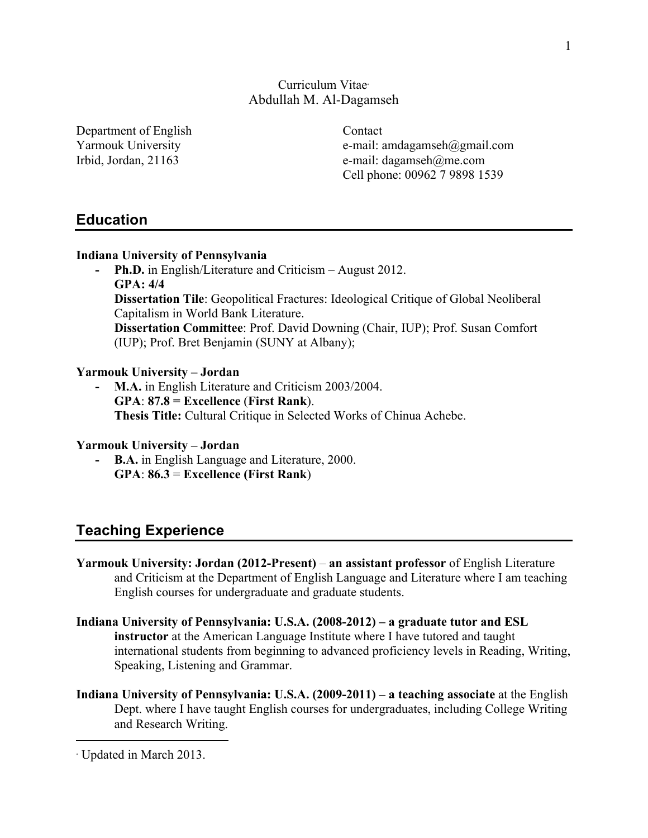## Curriculum Vitae<sup>∗</sup> Abdullah M. Al-Dagamseh

Department of English Contact

Yarmouk University e-mail: amdagamseh@gmail.com Irbid, Jordan, 21163 e-mail: dagamseh@me.com Cell phone: 00962 7 9898 1539

## **Education**

### **Indiana University of Pennsylvania**

**- Ph.D.** in English/Literature and Criticism – August 2012. **GPA: 4/4 Dissertation Tile**: Geopolitical Fractures: Ideological Critique of Global Neoliberal

Capitalism in World Bank Literature. **Dissertation Committee**: Prof. David Downing (Chair, IUP); Prof. Susan Comfort

(IUP); Prof. Bret Benjamin (SUNY at Albany);

### **Yarmouk University – Jordan**

**- M.A.** in English Literature and Criticism 2003/2004. **GPA**: **87.8 = Excellence** (**First Rank**). **Thesis Title:** Cultural Critique in Selected Works of Chinua Achebe.

### **Yarmouk University – Jordan**

**- B.A.** in English Language and Literature, 2000. **GPA**: **86.3** = **Excellence (First Rank**)

# **Teaching Experience**

- **Yarmouk University: Jordan (2012-Present) an assistant professor** of English Literature and Criticism at the Department of English Language and Literature where I am teaching English courses for undergraduate and graduate students.
- **Indiana University of Pennsylvania: U.S.A. (2008-2012) – a graduate tutor and ESL instructor** at the American Language Institute where I have tutored and taught international students from beginning to advanced proficiency levels in Reading, Writing, Speaking, Listening and Grammar.
- **Indiana University of Pennsylvania: U.S.A. (2009-2011) – a teaching associate** at the English Dept. where I have taught English courses for undergraduates, including College Writing and Research Writing.

 $\overline{a}$ 

<sup>∗</sup> Updated in March 2013.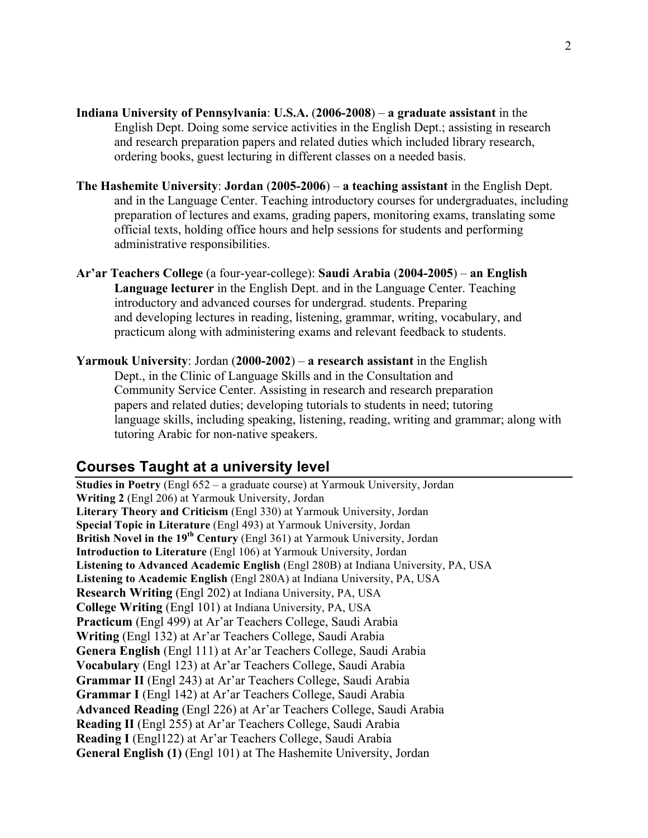- **Indiana University of Pennsylvania**: **U.S.A.** (**2006-2008**) **a graduate assistant** in the English Dept. Doing some service activities in the English Dept.; assisting in research and research preparation papers and related duties which included library research, ordering books, guest lecturing in different classes on a needed basis.
- **The Hashemite University**: **Jordan** (**2005-2006**) **a teaching assistant** in the English Dept. and in the Language Center. Teaching introductory courses for undergraduates, including preparation of lectures and exams, grading papers, monitoring exams, translating some official texts, holding office hours and help sessions for students and performing administrative responsibilities.
- **Ar'ar Teachers College** (a four-year-college): **Saudi Arabia** (**2004-2005**) **an English Language lecturer** in the English Dept. and in the Language Center. Teaching introductory and advanced courses for undergrad. students. Preparing and developing lectures in reading, listening, grammar, writing, vocabulary, and practicum along with administering exams and relevant feedback to students.
- **Yarmouk University**: Jordan (**2000-2002**) **a research assistant** in the English Dept., in the Clinic of Language Skills and in the Consultation and Community Service Center. Assisting in research and research preparation papers and related duties; developing tutorials to students in need; tutoring language skills, including speaking, listening, reading, writing and grammar; along with tutoring Arabic for non-native speakers.

# **Courses Taught at a university level**

**Studies in Poetry** (Engl 652 – a graduate course) at Yarmouk University, Jordan **Writing 2** (Engl 206) at Yarmouk University, Jordan **Literary Theory and Criticism** (Engl 330) at Yarmouk University, Jordan **Special Topic in Literature** (Engl 493) at Yarmouk University, Jordan **British Novel in the 19th Century** (Engl 361) at Yarmouk University, Jordan **Introduction to Literature** (Engl 106) at Yarmouk University, Jordan **Listening to Advanced Academic English** (Engl 280B) at Indiana University, PA, USA **Listening to Academic English** (Engl 280A) at Indiana University, PA, USA **Research Writing** (Engl 202) at Indiana University, PA, USA **College Writing** (Engl 101) at Indiana University, PA, USA **Practicum** (Engl 499) at Ar'ar Teachers College, Saudi Arabia **Writing** (Engl 132) at Ar'ar Teachers College, Saudi Arabia **Genera English** (Engl 111) at Ar'ar Teachers College, Saudi Arabia **Vocabulary** (Engl 123) at Ar'ar Teachers College, Saudi Arabia **Grammar II** (Engl 243) at Ar'ar Teachers College, Saudi Arabia **Grammar I** (Engl 142) at Ar'ar Teachers College, Saudi Arabia **Advanced Reading** (Engl 226) at Ar'ar Teachers College, Saudi Arabia **Reading II** (Engl 255) at Ar'ar Teachers College, Saudi Arabia **Reading I** (Engl122) at Ar'ar Teachers College, Saudi Arabia **General English (1)** (Engl 101) at The Hashemite University, Jordan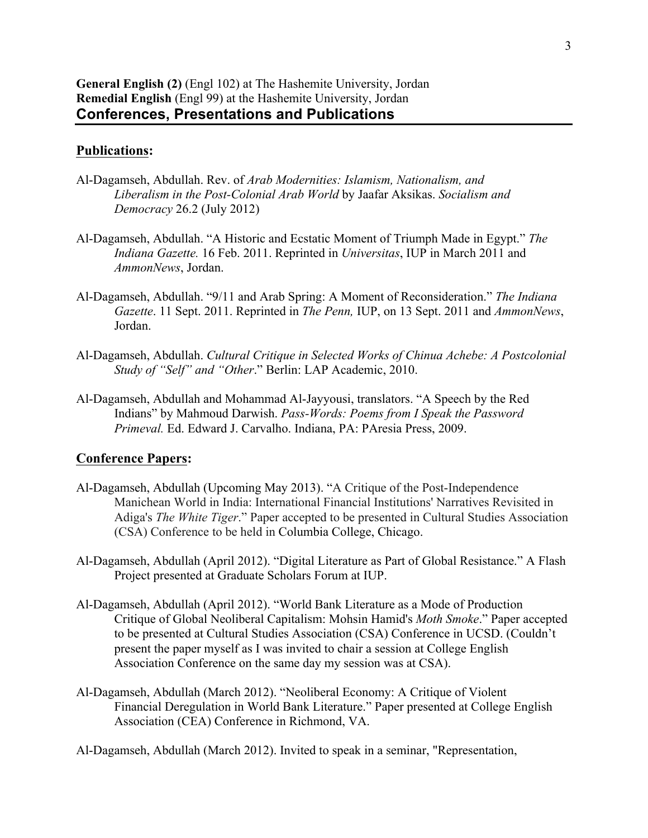#### **Publications:**

- Al-Dagamseh, Abdullah. Rev. of *Arab Modernities: Islamism, Nationalism, and Liberalism in the Post-Colonial Arab World* by Jaafar Aksikas. *Socialism and Democracy* 26.2 (July 2012)
- Al-Dagamseh, Abdullah. "A Historic and Ecstatic Moment of Triumph Made in Egypt." *The Indiana Gazette.* 16 Feb. 2011. Reprinted in *Universitas*, IUP in March 2011 and *AmmonNews*, Jordan.
- Al-Dagamseh, Abdullah. "9/11 and Arab Spring: A Moment of Reconsideration." *The Indiana Gazette*. 11 Sept. 2011. Reprinted in *The Penn,* IUP, on 13 Sept. 2011 and *AmmonNews*, Jordan.
- Al-Dagamseh, Abdullah. *Cultural Critique in Selected Works of Chinua Achebe: A Postcolonial Study of "Self" and "Other*." Berlin: LAP Academic, 2010.
- Al-Dagamseh, Abdullah and Mohammad Al-Jayyousi, translators. "A Speech by the Red Indians" by Mahmoud Darwish. *Pass-Words: Poems from I Speak the Password Primeval.* Ed. Edward J. Carvalho. Indiana, PA: PAresia Press, 2009.

#### **Conference Papers:**

- Al-Dagamseh, Abdullah (Upcoming May 2013). "A Critique of the Post-Independence Manichean World in India: International Financial Institutions' Narratives Revisited in Adiga's *The White Tiger*." Paper accepted to be presented in Cultural Studies Association (CSA) Conference to be held in Columbia College, Chicago.
- Al-Dagamseh, Abdullah (April 2012). "Digital Literature as Part of Global Resistance." A Flash Project presented at Graduate Scholars Forum at IUP.
- Al-Dagamseh, Abdullah (April 2012). "World Bank Literature as a Mode of Production Critique of Global Neoliberal Capitalism: Mohsin Hamid's *Moth Smoke*." Paper accepted to be presented at Cultural Studies Association (CSA) Conference in UCSD. (Couldn't present the paper myself as I was invited to chair a session at College English Association Conference on the same day my session was at CSA).
- Al-Dagamseh, Abdullah (March 2012). "Neoliberal Economy: A Critique of Violent Financial Deregulation in World Bank Literature." Paper presented at College English Association (CEA) Conference in Richmond, VA.
- Al-Dagamseh, Abdullah (March 2012). Invited to speak in a seminar, "Representation,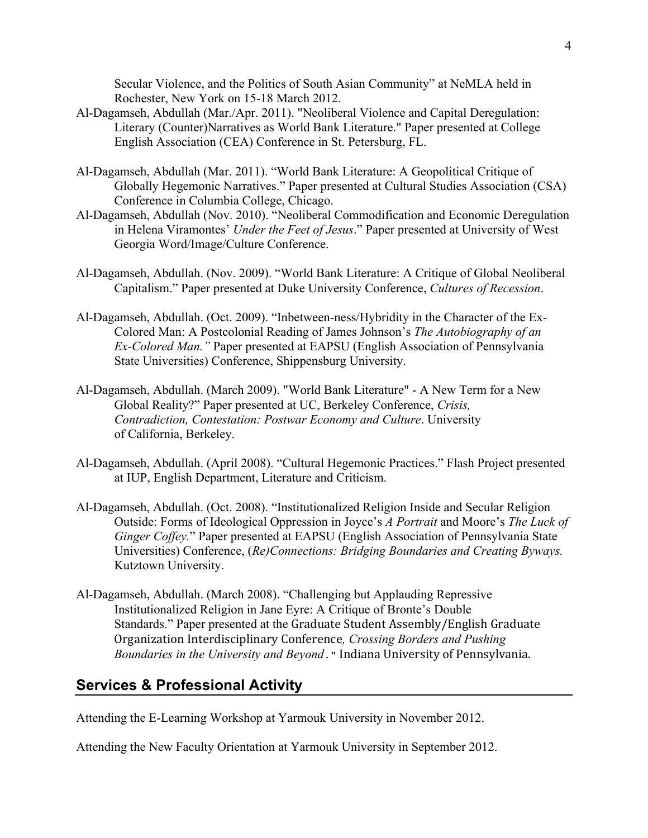Secular Violence, and the Politics of South Asian Community" at NeMLA held in Rochester, New York on 15-18 March 2012.

- Al-Dagamseh, Abdullah (Mar./Apr. 2011). "Neoliberal Violence and Capital Deregulation: Literary (Counter)Narratives as World Bank Literature." Paper presented at College English Association (CEA) Conference in St. Petersburg, FL.
- Al-Dagamseh, Abdullah (Mar. 2011). "World Bank Literature: A Geopolitical Critique of Globally Hegemonic Narratives." Paper presented at Cultural Studies Association (CSA) Conference in Columbia College, Chicago.
- Al-Dagamseh, Abdullah (Nov. 2010). "Neoliberal Commodification and Economic Deregulation in Helena Viramontes' *Under the Feet of Jesus*." Paper presented at University of West Georgia Word/Image/Culture Conference.
- Al-Dagamseh, Abdullah. (Nov. 2009). "World Bank Literature: A Critique of Global Neoliberal Capitalism." Paper presented at Duke University Conference, *Cultures of Recession*.
- Al-Dagamseh, Abdullah. (Oct. 2009). "Inbetween-ness/Hybridity in the Character of the Ex-Colored Man: A Postcolonial Reading of James Johnson's *The Autobiography of an Ex-Colored Man."* Paper presented at EAPSU (English Association of Pennsylvania State Universities) Conference, Shippensburg University.
- Al-Dagamseh, Abdullah. (March 2009). "World Bank Literature" A New Term for a New Global Reality?" Paper presented at UC, Berkeley Conference, *Crisis, Contradiction, Contestation: Postwar Economy and Culture*. University of California, Berkeley.
- Al-Dagamseh, Abdullah. (April 2008). "Cultural Hegemonic Practices." Flash Project presented at IUP, English Department, Literature and Criticism.
- Al-Dagamseh, Abdullah. (Oct. 2008). "Institutionalized Religion Inside and Secular Religion Outside: Forms of Ideological Oppression in Joyce's *A Portrait* and Moore's *The Luck of Ginger Coffey.*" Paper presented at EAPSU (English Association of Pennsylvania State Universities) Conference, (*Re)Connections: Bridging Boundaries and Creating Byways.*  Kutztown University.
- Al-Dagamseh, Abdullah. (March 2008). "Challenging but Applauding Repressive Institutionalized Religion in Jane Eyre: A Critique of Bronte's Double Standards." Paper presented at the Graduate Student Assembly/English Graduate Organization Interdisciplinary Conference*, Crossing Borders and Pushing Boundaries in the University and Beyond*." Indiana University of Pennsylvania.

# **Services & Professional Activity**

Attending the E-Learning Workshop at Yarmouk University in November 2012.

Attending the New Faculty Orientation at Yarmouk University in September 2012.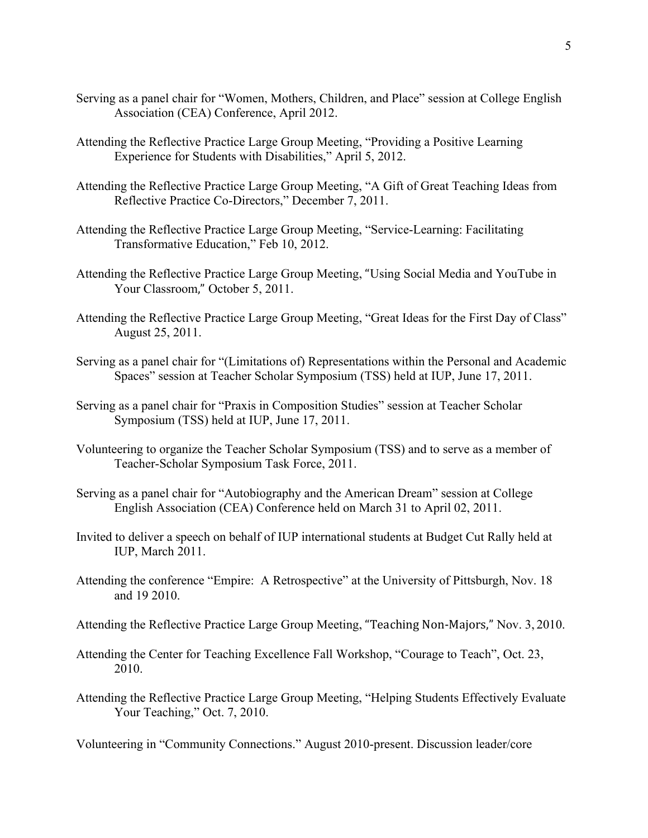- Serving as a panel chair for "Women, Mothers, Children, and Place" session at College English Association (CEA) Conference, April 2012.
- Attending the Reflective Practice Large Group Meeting, "Providing a Positive Learning Experience for Students with Disabilities," April 5, 2012.
- Attending the Reflective Practice Large Group Meeting, "A Gift of Great Teaching Ideas from Reflective Practice Co-Directors," December 7, 2011.
- Attending the Reflective Practice Large Group Meeting, "Service-Learning: Facilitating Transformative Education," Feb 10, 2012.
- Attending the Reflective Practice Large Group Meeting, "Using Social Media and YouTube in Your Classroom," October 5, 2011.
- Attending the Reflective Practice Large Group Meeting, "Great Ideas for the First Day of Class" August 25, 2011.
- Serving as a panel chair for "(Limitations of) Representations within the Personal and Academic Spaces" session at Teacher Scholar Symposium (TSS) held at IUP, June 17, 2011.
- Serving as a panel chair for "Praxis in Composition Studies" session at Teacher Scholar Symposium (TSS) held at IUP, June 17, 2011.
- Volunteering to organize the Teacher Scholar Symposium (TSS) and to serve as a member of Teacher-Scholar Symposium Task Force, 2011.
- Serving as a panel chair for "Autobiography and the American Dream" session at College English Association (CEA) Conference held on March 31 to April 02, 2011.
- Invited to deliver a speech on behalf of IUP international students at Budget Cut Rally held at IUP, March 2011.
- Attending the conference "Empire: A Retrospective" at the University of Pittsburgh, Nov. 18 and 19 2010.
- Attending the Reflective Practice Large Group Meeting, "Teaching Non-Majors," Nov. 3, 2010.
- Attending the Center for Teaching Excellence Fall Workshop, "Courage to Teach", Oct. 23, 2010.
- Attending the Reflective Practice Large Group Meeting, "Helping Students Effectively Evaluate Your Teaching," Oct. 7, 2010.

Volunteering in "Community Connections." August 2010-present. Discussion leader/core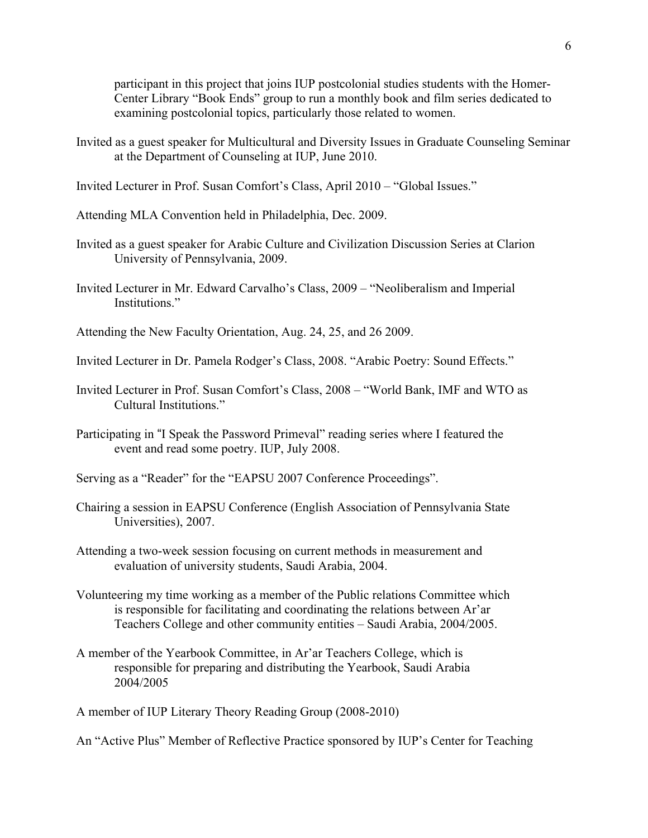participant in this project that joins IUP postcolonial studies students with the Homer-Center Library "Book Ends" group to run a monthly book and film series dedicated to examining postcolonial topics, particularly those related to women.

- Invited as a guest speaker for Multicultural and Diversity Issues in Graduate Counseling Seminar at the Department of Counseling at IUP, June 2010.
- Invited Lecturer in Prof. Susan Comfort's Class, April 2010 "Global Issues."
- Attending MLA Convention held in Philadelphia, Dec. 2009.
- Invited as a guest speaker for Arabic Culture and Civilization Discussion Series at Clarion University of Pennsylvania, 2009.
- Invited Lecturer in Mr. Edward Carvalho's Class, 2009 "Neoliberalism and Imperial Institutions."
- Attending the New Faculty Orientation, Aug. 24, 25, and 26 2009.
- Invited Lecturer in Dr. Pamela Rodger's Class, 2008. "Arabic Poetry: Sound Effects."
- Invited Lecturer in Prof. Susan Comfort's Class, 2008 "World Bank, IMF and WTO as Cultural Institutions."
- Participating in "I Speak the Password Primeval" reading series where I featured the event and read some poetry. IUP, July 2008.
- Serving as a "Reader" for the "EAPSU 2007 Conference Proceedings".
- Chairing a session in EAPSU Conference (English Association of Pennsylvania State Universities), 2007.
- Attending a two-week session focusing on current methods in measurement and evaluation of university students, Saudi Arabia, 2004.
- Volunteering my time working as a member of the Public relations Committee which is responsible for facilitating and coordinating the relations between Ar'ar Teachers College and other community entities – Saudi Arabia, 2004/2005.
- A member of the Yearbook Committee, in Ar'ar Teachers College, which is responsible for preparing and distributing the Yearbook, Saudi Arabia 2004/2005

A member of IUP Literary Theory Reading Group (2008-2010)

An "Active Plus" Member of Reflective Practice sponsored by IUP's Center for Teaching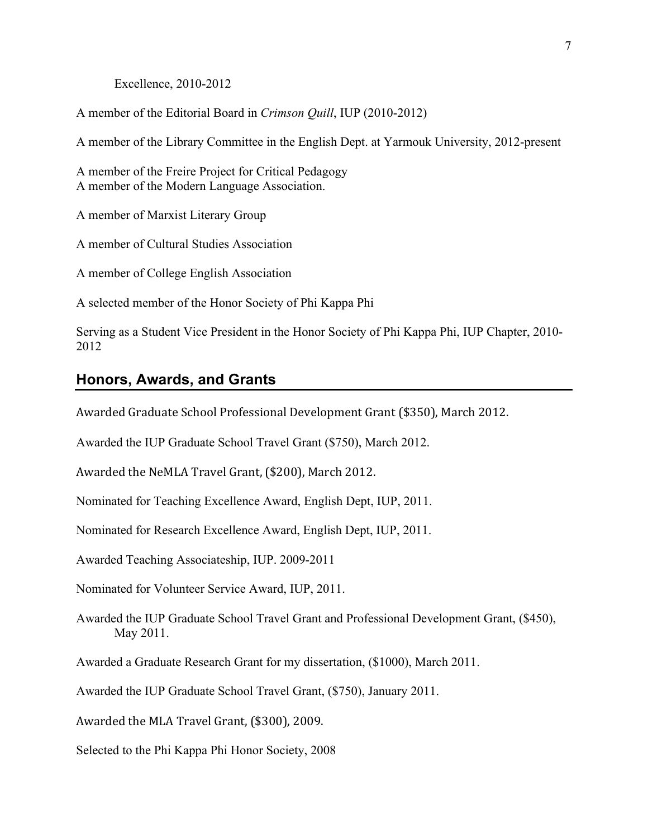Excellence, 2010-2012

A member of the Editorial Board in *Crimson Quill*, IUP (2010-2012)

A member of the Library Committee in the English Dept. at Yarmouk University, 2012-present

A member of the Freire Project for Critical Pedagogy A member of the Modern Language Association.

A member of Marxist Literary Group

A member of Cultural Studies Association

A member of College English Association

A selected member of the Honor Society of Phi Kappa Phi

Serving as a Student Vice President in the Honor Society of Phi Kappa Phi, IUP Chapter, 2010- 2012

### **Honors, Awards, and Grants**

Awarded Graduate School Professional Development Grant (\$350), March 2012.

Awarded the IUP Graduate School Travel Grant (\$750), March 2012.

Awarded the NeMLA Travel Grant, (\$200), March 2012.

Nominated for Teaching Excellence Award, English Dept, IUP, 2011.

Nominated for Research Excellence Award, English Dept, IUP, 2011.

Awarded Teaching Associateship, IUP. 2009-2011

Nominated for Volunteer Service Award, IUP, 2011.

Awarded the IUP Graduate School Travel Grant and Professional Development Grant, (\$450), May 2011.

Awarded a Graduate Research Grant for my dissertation, (\$1000), March 2011.

Awarded the IUP Graduate School Travel Grant, (\$750), January 2011.

Awarded the MLA Travel Grant, (\$300), 2009.

Selected to the Phi Kappa Phi Honor Society, 2008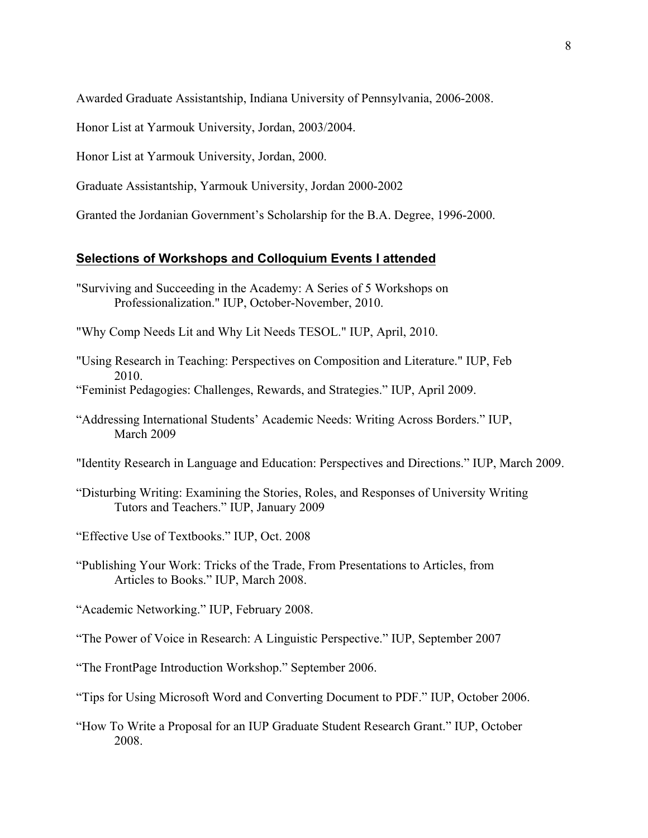Awarded Graduate Assistantship, Indiana University of Pennsylvania, 2006-2008.

Honor List at Yarmouk University, Jordan, 2003/2004.

Honor List at Yarmouk University, Jordan, 2000.

Graduate Assistantship, Yarmouk University, Jordan 2000-2002

Granted the Jordanian Government's Scholarship for the B.A. Degree, 1996-2000.

#### **Selections of Workshops and Colloquium Events I attended**

- "Surviving and Succeeding in the Academy: A Series of 5 Workshops on Professionalization." IUP, October-November, 2010.
- "Why Comp Needs Lit and Why Lit Needs TESOL." IUP, April, 2010.
- "Using Research in Teaching: Perspectives on Composition and Literature." IUP, Feb 2010.
- "Feminist Pedagogies: Challenges, Rewards, and Strategies." IUP, April 2009.
- "Addressing International Students' Academic Needs: Writing Across Borders." IUP, March 2009
- "Identity Research in Language and Education: Perspectives and Directions." IUP, March 2009.
- "Disturbing Writing: Examining the Stories, Roles, and Responses of University Writing Tutors and Teachers." IUP, January 2009
- "Effective Use of Textbooks." IUP, Oct. 2008
- "Publishing Your Work: Tricks of the Trade, From Presentations to Articles, from Articles to Books." IUP, March 2008.
- "Academic Networking." IUP, February 2008.
- "The Power of Voice in Research: A Linguistic Perspective." IUP, September 2007
- "The FrontPage Introduction Workshop." September 2006.
- "Tips for Using Microsoft Word and Converting Document to PDF." IUP, October 2006.
- "How To Write a Proposal for an IUP Graduate Student Research Grant." IUP, October 2008.